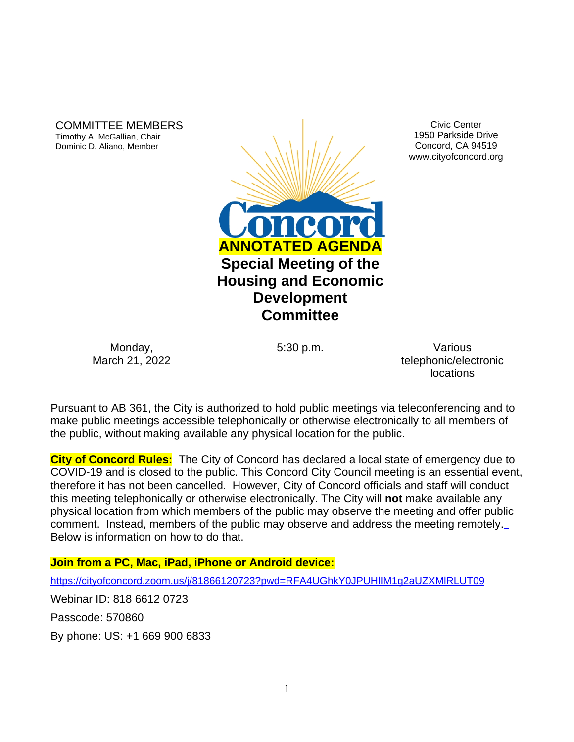COMMITTEE MEMBERS Timothy A. McGallian, Chair Dominic D. Aliano, Member



Civic Center 1950 Parkside Drive Concord, CA 94519 www.cityofconcord.org

Monday, March 21, 2022

5:30 p.m. Various telephonic/electronic locations

Pursuant to AB 361, the City is authorized to hold public meetings via teleconferencing and to make public meetings accessible telephonically or otherwise electronically to all members of the public, without making available any physical location for the public.

**City of Concord Rules:** The City of Concord has declared a local state of emergency due to COVID-19 and is closed to the public. This Concord City Council meeting is an essential event, therefore it has not been cancelled. However, City of Concord officials and staff will conduct this meeting telephonically or otherwise electronically. The City will **not** make available any physical location from which members of the public may observe the meeting and offer public comment. Instead, members of the public may observe and address the meeting remotely. Below is information on how to do that.

# **Join from a PC, Mac, iPad, iPhone or Android device:**

<https://cityofconcord.zoom.us/j/81866120723?pwd=RFA4UGhkY0JPUHlIM1g2aUZXMlRLUT09>

Webinar ID: 818 6612 0723

Passcode: 570860

By phone: US: +1 669 900 6833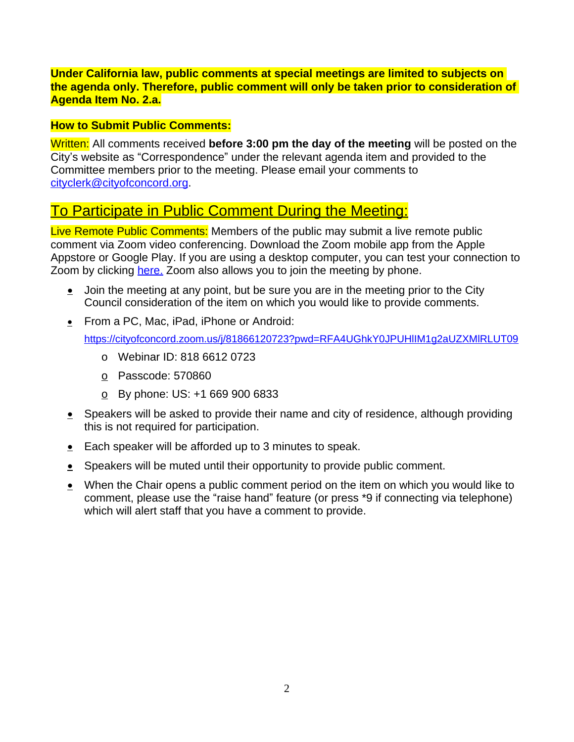### **Under California law, public comments at special meetings are limited to subjects on the agenda only. Therefore, public comment will only be taken prior to consideration of Agenda Item No. 2.a.**

### **How to Submit Public Comments:**

Written: All comments received **before 3:00 pm the day of the meeting** will be posted on the City's website as "Correspondence" under the relevant agenda item and provided to the Committee members prior to the meeting. Please email your comments to [cityclerk@cityofconcord.org.](mailto:cityclerk@cityofconcord.org)

# To Participate in Public Comment During the Meeting:

Live Remote Public Comments: Members of the public may submit a live remote public comment via Zoom video conferencing. Download the Zoom mobile app from the Apple Appstore or Google Play. If you are using a desktop computer, you can test your connection to Zoom by clicking [here.](https://www.zoom.us/join) Zoom also allows you to join the meeting by phone.

- $\bullet$  Join the meeting at any point, but be sure you are in the meeting prior to the City Council consideration of the item on which you would like to provide comments.
- **EXECUTE:** From a PC, Mac, iPad, iPhone or Android:

<https://cityofconcord.zoom.us/j/81866120723?pwd=RFA4UGhkY0JPUHlIM1g2aUZXMlRLUT09>

- o Webinar ID: 818 6612 0723
- o Passcode: 570860
- $\circ$  By phone: US: +1 669 900 6833
- $\bullet$  Speakers will be asked to provide their name and city of residence, although providing this is not required for participation.
- Each speaker will be afforded up to 3 minutes to speak.
- Speakers will be muted until their opportunity to provide public comment.
- When the Chair opens a public comment period on the item on which you would like to comment, please use the "raise hand" feature (or press \*9 if connecting via telephone) which will alert staff that you have a comment to provide.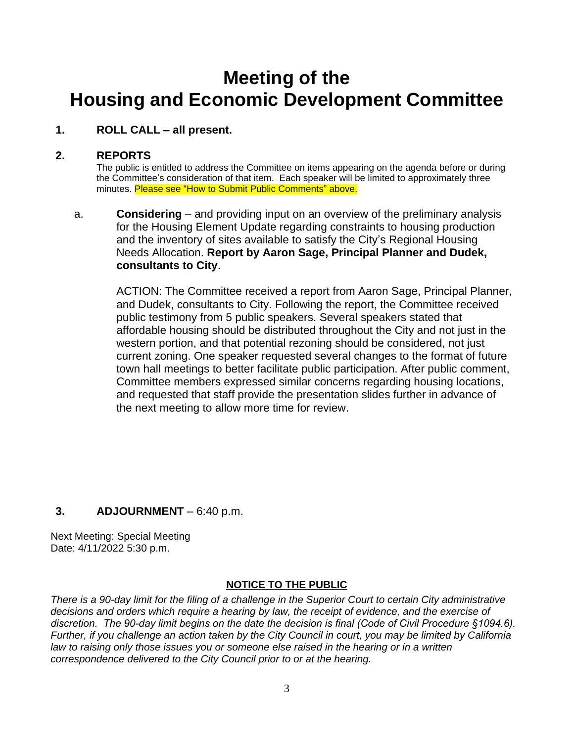# **Meeting of the Housing and Economic Development Committee**

## **1. ROLL CALL – all present.**

### **2. REPORTS**

The public is entitled to address the Committee on items appearing on the agenda before or during the Committee's consideration of that item. Each speaker will be limited to approximately three minutes. Please see "How to Submit Public Comments" above.

a. **Considering** – and providing input on an overview of the preliminary analysis for the Housing Element Update regarding constraints to housing production and the inventory of sites available to satisfy the City's Regional Housing Needs Allocation. **Report by Aaron Sage, Principal Planner and Dudek, consultants to City**.

ACTION: The Committee received a report from Aaron Sage, Principal Planner, and Dudek, consultants to City. Following the report, the Committee received public testimony from 5 public speakers. Several speakers stated that affordable housing should be distributed throughout the City and not just in the western portion, and that potential rezoning should be considered, not just current zoning. One speaker requested several changes to the format of future town hall meetings to better facilitate public participation. After public comment, Committee members expressed similar concerns regarding housing locations, and requested that staff provide the presentation slides further in advance of the next meeting to allow more time for review.

# **3. ADJOURNMENT** – 6:40 p.m.

Next Meeting: Special Meeting Date: 4/11/2022 5:30 p.m.

### **NOTICE TO THE PUBLIC**

*There is a 90-day limit for the filing of a challenge in the Superior Court to certain City administrative decisions and orders which require a hearing by law, the receipt of evidence, and the exercise of discretion. The 90-day limit begins on the date the decision is final (Code of Civil Procedure §1094.6). Further, if you challenge an action taken by the City Council in court, you may be limited by California law to raising only those issues you or someone else raised in the hearing or in a written correspondence delivered to the City Council prior to or at the hearing.*